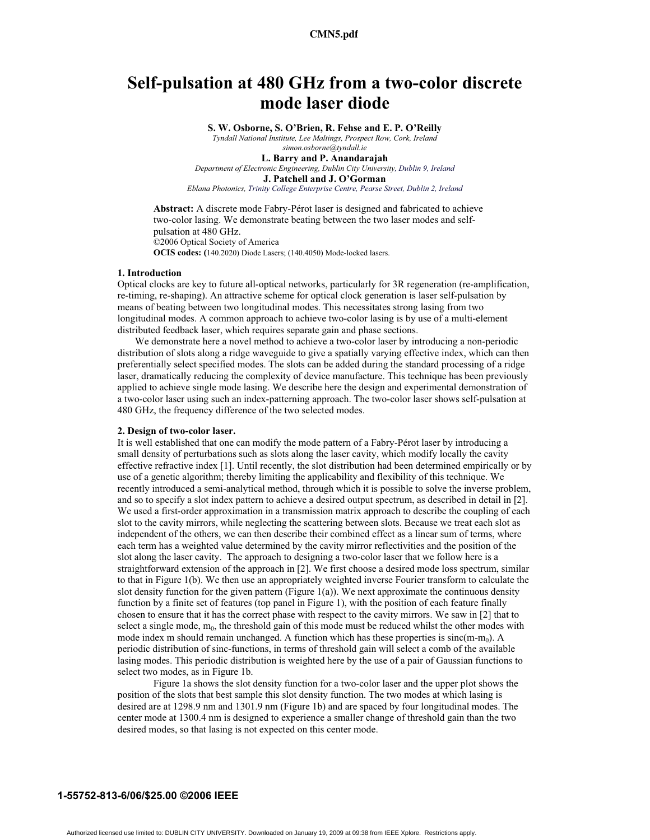# **Self-pulsation at 480 GHz from a two-color discrete mode laser diode**

**S. W. Osborne, S. O'Brien, R. Fehse and E. P. O'Reilly**

*Tyndall National Institute, Lee Maltings, Prospect Row, Cork, Ireland simon.osborne@tyndall.ie* 

**L. Barry and P. Anandarajah** 

*Department of Electronic Engineering, Dublin City University, Dublin 9, Ireland*

**J. Patchell and J. O'Gorman** 

*Eblana Photonics, Trinity College Enterprise Centre, Pearse Street, Dublin 2, Ireland* 

**Abstract:** A discrete mode Fabry-Pérot laser is designed and fabricated to achieve two-color lasing. We demonstrate beating between the two laser modes and selfpulsation at 480 GHz. ©2006 Optical Society of America **OCIS codes: (**140.2020) Diode Lasers; (140.4050) Mode-locked lasers.

## **1. Introduction**

Optical clocks are key to future all-optical networks, particularly for 3R regeneration (re-amplification, re-timing, re-shaping). An attractive scheme for optical clock generation is laser self-pulsation by means of beating between two longitudinal modes. This necessitates strong lasing from two longitudinal modes. A common approach to achieve two-color lasing is by use of a multi-element distributed feedback laser, which requires separate gain and phase sections.

 We demonstrate here a novel method to achieve a two-color laser by introducing a non-periodic distribution of slots along a ridge waveguide to give a spatially varying effective index, which can then preferentially select specified modes. The slots can be added during the standard processing of a ridge laser, dramatically reducing the complexity of device manufacture. This technique has been previously applied to achieve single mode lasing. We describe here the design and experimental demonstration of a two-color laser using such an index-patterning approach. The two-color laser shows self-pulsation at 480 GHz, the frequency difference of the two selected modes.

### **2. Design of two-color laser.**

It is well established that one can modify the mode pattern of a Fabry-Pérot laser by introducing a small density of perturbations such as slots along the laser cavity, which modify locally the cavity effective refractive index [1]. Until recently, the slot distribution had been determined empirically or by use of a genetic algorithm; thereby limiting the applicability and flexibility of this technique. We recently introduced a semi-analytical method, through which it is possible to solve the inverse problem, and so to specify a slot index pattern to achieve a desired output spectrum, as described in detail in [2]. We used a first-order approximation in a transmission matrix approach to describe the coupling of each slot to the cavity mirrors, while neglecting the scattering between slots. Because we treat each slot as independent of the others, we can then describe their combined effect as a linear sum of terms, where each term has a weighted value determined by the cavity mirror reflectivities and the position of the slot along the laser cavity. The approach to designing a two-color laser that we follow here is a straightforward extension of the approach in [2]. We first choose a desired mode loss spectrum, similar to that in Figure 1(b). We then use an appropriately weighted inverse Fourier transform to calculate the slot density function for the given pattern (Figure 1(a)). We next approximate the continuous density function by a finite set of features (top panel in Figure 1), with the position of each feature finally chosen to ensure that it has the correct phase with respect to the cavity mirrors. We saw in [2] that to select a single mode,  $m_0$ , the threshold gain of this mode must be reduced whilst the other modes with mode index m should remain unchanged. A function which has these properties is  $sinc(m-m<sub>0</sub>)$ . A periodic distribution of sinc-functions, in terms of threshold gain will select a comb of the available lasing modes. This periodic distribution is weighted here by the use of a pair of Gaussian functions to select two modes, as in Figure 1b.

Figure 1a shows the slot density function for a two-color laser and the upper plot shows the position of the slots that best sample this slot density function. The two modes at which lasing is desired are at 1298.9 nm and 1301.9 nm (Figure 1b) and are spaced by four longitudinal modes. The center mode at 1300.4 nm is designed to experience a smaller change of threshold gain than the two desired modes, so that lasing is not expected on this center mode.